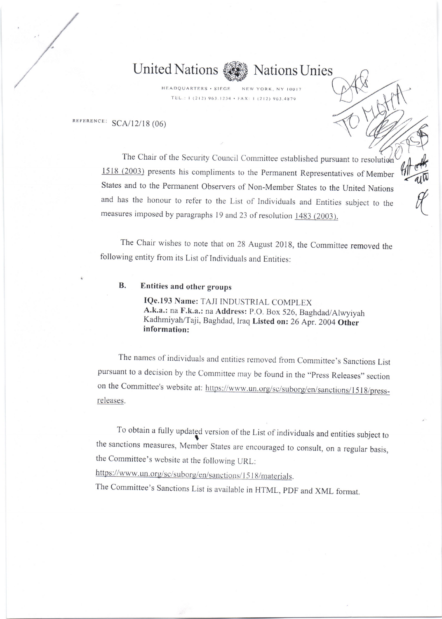



HEADQUARTERS . SIEGE NEW YORK, NY 10017 TEL: 1 (212) 963.1234 · FAX: 1 (212) 963.4879

REFERENCE: SCA/12/18 (06)

The Chair of the Security Council Committee established pursuant to resolution Ine Chair of the Security Council Committee established pursuant to resolution the Chair of Member 1518 (2003) presents his compliments to the Permanent Representatives of Member States and to the Permanent Observers of Non-Member States to the United Nations and has the honour to refer to the List of Individuals and Entities subject to the measures imposed by paragraphs 19 and 23 of resolution 1483 (2003).

' y

,

The Chair wishes to note that on 28 August 2018, the Committee removed the following entity from its List of Individuals and Entities:

## **B.** Entities and other groups

IQe.193 Name: TAJI INDUSTRIAL COMPLEX A.k.a.: na F.k.a.: na Address: p.O. Box 526, Baghdad/Alwyiyah Kadhmiyah/Taji, Baghdad, Iraq Listed on: 26 Apr. 2004 Other information:

The names of individuals and entities removed from Committee's Sanctions List pursuant to a decision by the Committee may be found in the "Press Releases" section on the Committee's website at: https://www.un.org/sc/suborg/en/sanctions/1518/pressreleases.

To obtain a fully updated version of the List of individuals and entities subject to the sanctions measures, Member States are encouraged to consult, on a regular basis, the Committee's website at the followine URL:

## https://www.un.org/sc/suborg/en/sanctions/1518/materials.

The committee's sanctions List is available in HTML, pDF and XML format.